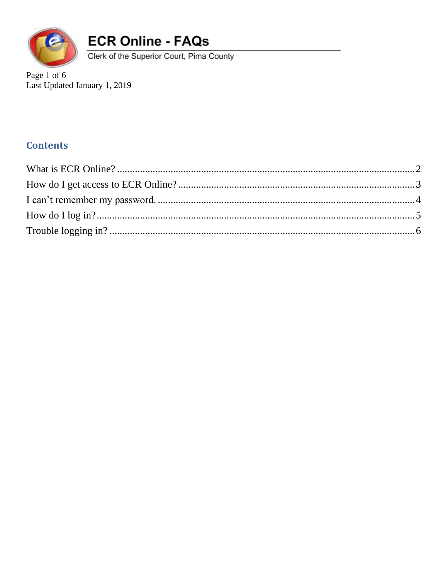

Clerk of the Superior Court, Pima County

Page 1 of 6 Last Updated January 1, 2019

#### **Contents**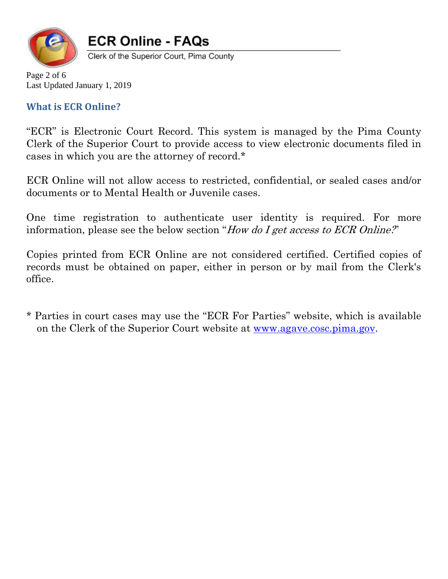

Clerk of the Superior Court, Pima County

Page 2 of 6 Last Updated January 1, 2019

#### <span id="page-1-0"></span>**What is ECR Online?**

"ECR" is Electronic Court Record. This system is managed by the Pima County Clerk of the Superior Court to provide access to view electronic documents filed in cases in which you are the attorney of record.\*

ECR Online will not allow access to restricted, confidential, or sealed cases and/or documents or to Mental Health or Juvenile cases.

One time registration to authenticate user identity is required. For more information, please see the below section "How do I get access to ECR Online?"

Copies printed from ECR Online are not considered certified. Certified copies of records must be obtained on paper, either in person or by mail from the Clerk's office.

\* Parties in court cases may use the "ECR For Parties" website, which is available on the Clerk of the Superior Court website at [www.agave.cosc.pima.gov.](http://www.agave.cosc.pima.gov/)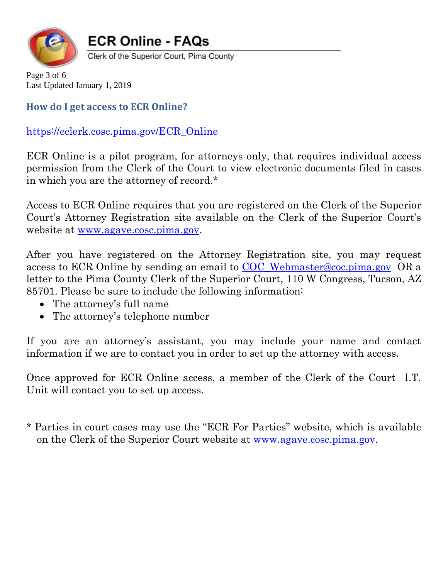

Clerk of the Superior Court, Pima County

Page 3 of 6 Last Updated January 1, 2019

<span id="page-2-0"></span>**How do I get access to ECR Online?** 

[https://eclerk.cosc.pima.gov/ECR\\_Online](https://eclerk.cosc.pima.gov/ECR_Online)

ECR Online is a pilot program, for attorneys only, that requires individual access permission from the Clerk of the Court to view electronic documents filed in cases in which you are the attorney of record.\*

Access to ECR Online requires that you are registered on the Clerk of the Superior Court's Attorney Registration site available on the Clerk of the Superior Court's website at [www.agave.cosc.pima.gov.](http://www.agave.cosc.pima.gov/)

After you have registered on the Attorney Registration site, you may request access to ECR Online by sending an email to [COC\\_Webmaster@coc.pima.gov](mailto:COC_Webmaster@coc.pima.gov) OR a letter to the Pima County Clerk of the Superior Court, 110 W Congress, Tucson, AZ 85701. Please be sure to include the following information:

- The attorney's full name
- The attorney's telephone number

If you are an attorney's assistant, you may include your name and contact information if we are to contact you in order to set up the attorney with access.

Once approved for ECR Online access, a member of the Clerk of the Court I.T. Unit will contact you to set up access.

\* Parties in court cases may use the "ECR For Parties" website, which is available on the Clerk of the Superior Court website at [www.agave.cosc.pima.gov.](http://www.agave.cosc.pima.gov/)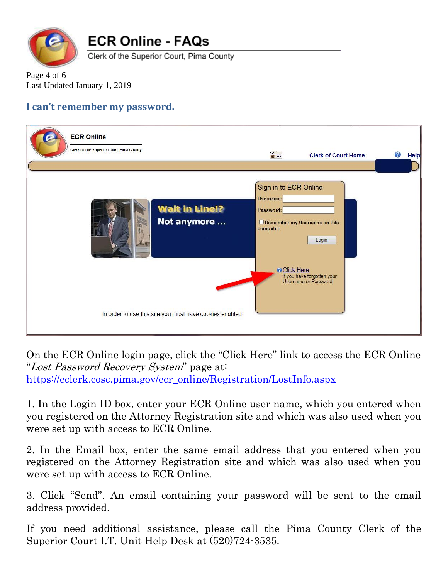

Clerk of the Superior Court, Pima County

Page 4 of 6 Last Updated January 1, 2019

#### <span id="page-3-0"></span>**I can't remember my password.**

| <b>ECR Online</b><br>Clerk of The Superior Court, Pima County                                                   | $rac{1}{\sqrt{2}}$                                                                 | <b>Clerk of Court Home</b>                                                                  | <b>Help</b> |
|-----------------------------------------------------------------------------------------------------------------|------------------------------------------------------------------------------------|---------------------------------------------------------------------------------------------|-------------|
| <b>Wait in Line!?</b><br>Not anymore<br><b>LACS</b><br>In order to use this site you must have cookies enabled. | Sign in to ECR Online<br>Username:<br>Password:<br>computer<br><b>O</b> Click Here | Remember my Username on this<br>Login<br>If you have forgotten your<br>Username or Password |             |

On the ECR Online login page, click the "Click Here" link to access the ECR Online "Lost Password Recovery System" page at: [https://eclerk.cosc.pima.gov/ecr\\_online/Registration/LostInfo.aspx](https://eclerk.cosc.pima.gov/ecr_online/Registration/LostInfo.aspx)

1. In the Login ID box, enter your ECR Online user name, which you entered when you registered on the Attorney Registration site and which was also used when you were set up with access to ECR Online.

2. In the Email box, enter the same email address that you entered when you registered on the Attorney Registration site and which was also used when you were set up with access to ECR Online.

3. Click "Send". An email containing your password will be sent to the email address provided.

If you need additional assistance, please call the Pima County Clerk of the Superior Court I.T. Unit Help Desk at (520)724-3535.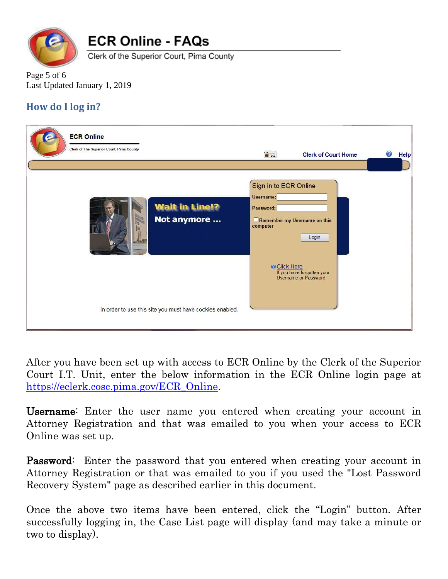

Clerk of the Superior Court, Pima County

Page 5 of 6 Last Updated January 1, 2019

### <span id="page-4-0"></span>**How do I log in?**

| <b>ECR Online</b><br>Clerk of The Superior Court, Pima County | $rac{1}{\sqrt{2}}$                                                                 | <b>Clerk of Court Home</b>                                                                  | Ø<br><b>Help</b> |
|---------------------------------------------------------------|------------------------------------------------------------------------------------|---------------------------------------------------------------------------------------------|------------------|
| <b>Wait in Line!?</b><br>Not anymore                          | Sign in to ECR Online<br>Username:<br>Password:<br>computer<br><b>D</b> Click Here | Remember my Username on this<br>Login<br>If you have forgotten your<br>Username or Password |                  |
| In order to use this site you must have cookies enabled.      |                                                                                    |                                                                                             |                  |

After you have been set up with access to ECR Online by the Clerk of the Superior Court I.T. Unit, enter the below information in the ECR Online login page at [https://eclerk.cosc.pima.gov/ECR\\_Online.](https://eclerk.cosc.pima.gov/ECR_Online)

Username: Enter the user name you entered when creating your account in Attorney Registration and that was emailed to you when your access to ECR Online was set up.

Password: Enter the password that you entered when creating your account in Attorney Registration or that was emailed to you if you used the "Lost Password Recovery System" page as described earlier in this document.

Once the above two items have been entered, click the "Login" button. After successfully logging in, the Case List page will display (and may take a minute or two to display).